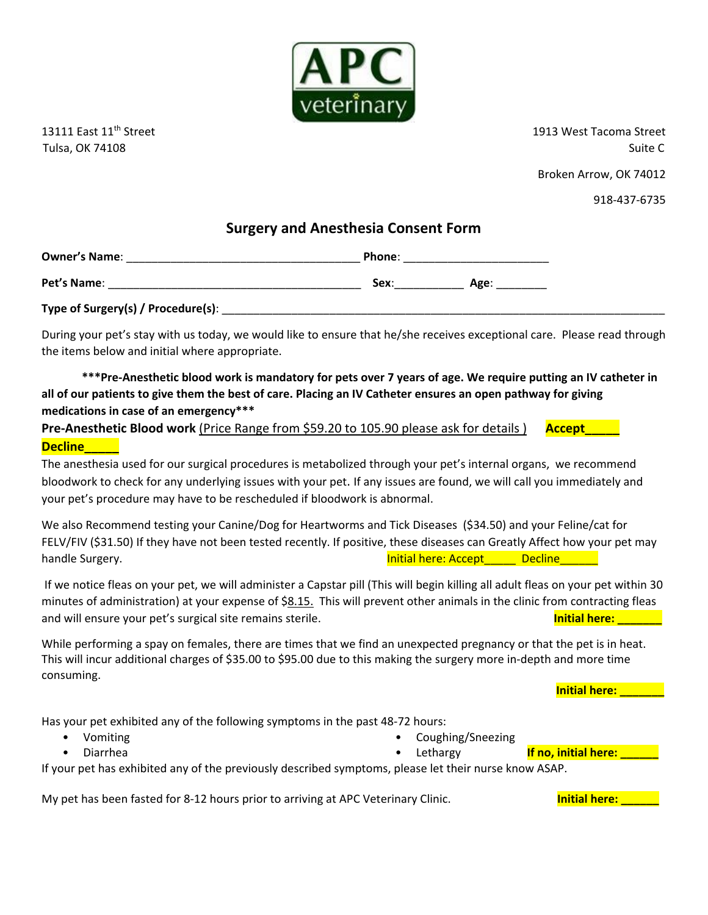

13111 East 11<sup>th</sup> Street 1913 West Tacoma Street 1913 West Tacoma Street Tulsa, OK 74108 Suite C

Broken Arrow, OK 74012

918-437-6735

## **Surgery and Anesthesia Consent Form**

| <b>Owner's Name:</b> | Phone: |      |  |
|----------------------|--------|------|--|
|                      |        |      |  |
| Pet's Name:          | Sex:   | Age: |  |

**Type of Surgery(s) / Procedure(s)**: \_\_\_\_\_\_\_\_\_\_\_\_\_\_\_\_\_\_\_\_\_\_\_\_\_\_\_\_\_\_\_\_\_\_\_\_\_\_\_\_\_\_\_\_\_\_\_\_\_\_\_\_\_\_\_\_\_\_\_\_\_\_\_\_\_\_\_\_\_\_

During your pet's stay with us today, we would like to ensure that he/she receives exceptional care. Please read through the items below and initial where appropriate.

 **\*\*\*Pre-Anesthetic blood work is mandatory for pets over 7 years of age. We require putting an IV catheter in all of our patients to give them the best of care. Placing an IV Catheter ensures an open pathway for giving medications in case of an emergency\*\*\***

**Pre-Anesthetic Blood work** (Price Range from \$59.20 to 105.90 please ask for details ) Accept **Decline\_\_\_\_\_**

The anesthesia used for our surgical procedures is metabolized through your pet's internal organs, we recommend bloodwork to check for any underlying issues with your pet. If any issues are found, we will call you immediately and your pet's procedure may have to be rescheduled if bloodwork is abnormal.

We also Recommend testing your Canine/Dog for Heartworms and Tick Diseases (\$34.50) and your Feline/cat for FELV/FIV (\$31.50) If they have not been tested recently. If positive, these diseases can Greatly Affect how your pet may handle Surgery. The Surgery of the Surgery of the Surgery of the Surgery of the Mandle Surgery. The Surgery of the Surgery of the Surgery of the Surgery of the Surgery of the Surgery of the Surgery of the Surgery of the Su

If we notice fleas on your pet, we will administer a Capstar pill (This will begin killing all adult fleas on your pet within 30 minutes of administration) at your expense of \$8.15. This will prevent other animals in the clinic from contracting fleas and will ensure your pet's surgical site remains sterile. **Initial methods of the step of the step of the step o**<br>and will ensure your pet's surgical site remains sterile.

While performing a spay on females, there are times that we find an unexpected pregnancy or that the pet is in heat. This will incur additional charges of \$35.00 to \$95.00 due to this making the surgery more in-depth and more time consuming.

**Initial here: \_\_\_\_\_\_\_**

Has your pet exhibited any of the following symptoms in the past 48-72 hours:

- Vomiting
	- Diarrhea
- Coughing/Sneezing
	-

• Lethargy **If no, initial here:** 

If your pet has exhibited any of the previously described symptoms, please let their nurse know ASAP.

My pet has been fasted for 8-12 hours prior to arriving at APC Veterinary Clinic. **Initial here: Initial here:** \_\_\_\_\_\_